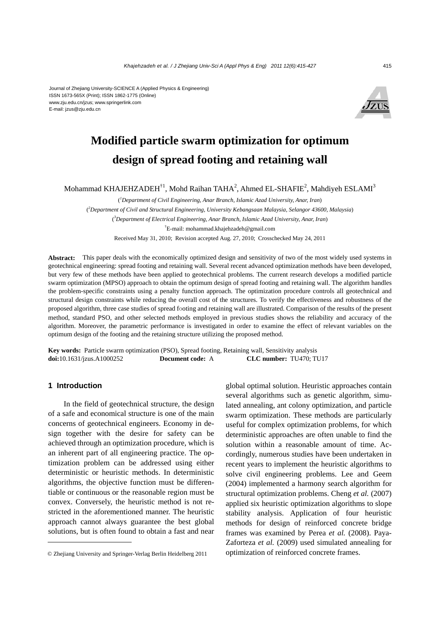#### Journal of Zhejiang University-SCIENCE A (Applied Physics & Engineering) ISSN 1673-565X (Print); ISSN 1862-1775 (Online) www.zju.edu.cn/jzus; www.springerlink.com E-mail: jzus@zju.edu.cn



# **Modified particle swarm optimization for optimum design of spread footing and retaining wall**

Mohammad KHAJEHZADEH $^{\dagger1}$ , Mohd Raihan TAHA $^2$ , Ahmed EL-SHAFIE $^2$ , Mahdiyeh ESLAMI $^3$ 

( *1 Department of Civil Engineering, Anar Branch, Islamic Azad University, Anar, Iran*) ( *2 Department of Civil and Structural Engineering, University Kebangsaan Malaysia, Selangor 43600, Malaysia*) ( *3 Department of Electrical Engineering, Anar Branch, Islamic Azad University, Anar, Iran*) † E-mail: mohammad.khajehzadeh@gmail.com Received May 31, 2010; Revision accepted Aug. 27, 2010; Crosschecked May 24, 2011

**Abstract:** This paper deals with the economically optimized design and sensitivity of two of the most widely used systems in geotechnical engineering: spread footing and retaining wall. Several recent advanced optimization methods have been developed, but very few of these methods have been applied to geotechnical problems. The current research develops a modified particle swarm optimization (MPSO) approach to obtain the optimum design of spread footing and retaining wall. The algorithm handles the problem-specific constraints using a penalty function approach. The optimization procedure controls all geotechnical and structural design constraints while reducing the overall cost of the structures. To verify the effectiveness and robustness of the proposed algorithm, three case studies of spread footing and retaining wall are illustrated. Comparison of the results of the present method, standard PSO, and other selected methods employed in previous studies shows the reliability and accuracy of the algorithm. Moreover, the parametric performance is investigated in order to examine the effect of relevant variables on the optimum design of the footing and the retaining structure utilizing the proposed method.

**Key words:** Particle swarm optimization (PSO), Spread footing, Retaining wall, Sensitivity analysis **doi:**10.1631/jzus.A1000252 **Document code:** A **CLC number:** TU470; TU17

## **1 Introduction**

In the field of geotechnical structure, the design of a safe and economical structure is one of the main concerns of geotechnical engineers. Economy in design together with the desire for safety can be achieved through an optimization procedure, which is an inherent part of all engineering practice. The optimization problem can be addressed using either deterministic or heuristic methods. In deterministic algorithms, the objective function must be differentiable or continuous or the reasonable region must be convex. Conversely, the heuristic method is not restricted in the aforementioned manner. The heuristic approach cannot always guarantee the best global solutions, but is often found to obtain a fast and near global optimal solution. Heuristic approaches contain several algorithms such as genetic algorithm, simulated annealing, ant colony optimization, and particle swarm optimization. These methods are particularly useful for complex optimization problems, for which deterministic approaches are often unable to find the solution within a reasonable amount of time. Accordingly, numerous studies have been undertaken in recent years to implement the heuristic algorithms to solve civil engineering problems. Lee and Geem (2004) implemented a harmony search algorithm for structural optimization problems. Cheng *et al.* (2007) applied six heuristic optimization algorithms to slope stability analysis. Application of four heuristic methods for design of reinforced concrete bridge frames was examined by Perea *et al.* (2008). Paya-Zaforteza *et al.* (2009) used simulated annealing for optimization of reinforced concrete frames.

<sup>©</sup> Zhejiang University and Springer-Verlag Berlin Heidelberg 2011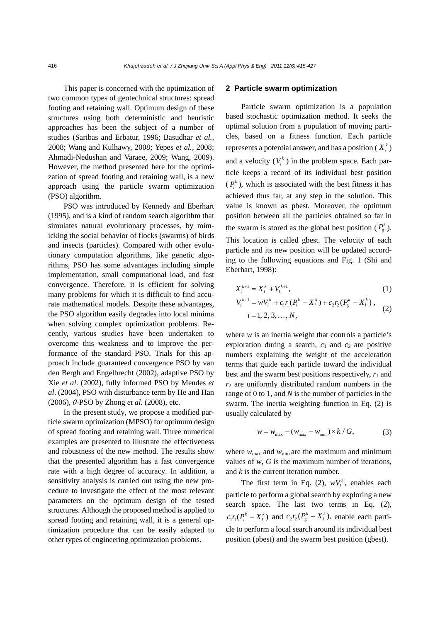This paper is concerned with the optimization of two common types of geotechnical structures: spread footing and retaining wall. Optimum design of these structures using both deterministic and heuristic approaches has been the subject of a number of studies (Saribas and Erbatur, 1996; Basudhar *et al.,*  2008; Wang and Kulhawy, 2008; Yepes *et al.,* 2008; Ahmadi-Nedushan and Varaee, 2009; Wang, 2009). However, the method presented here for the optimization of spread footing and retaining wall, is a new approach using the particle swarm optimization (PSO) algorithm.

PSO was introduced by Kennedy and Eberhart (1995), and is a kind of random search algorithm that simulates natural evolutionary processes, by mimicking the social behavior of flocks (swarms) of birds and insects (particles). Compared with other evolutionary computation algorithms, like genetic algorithms, PSO has some advantages including simple implementation, small computational load, and fast convergence. Therefore, it is efficient for solving many problems for which it is difficult to find accurate mathematical models. Despite these advantages, the PSO algorithm easily degrades into local minima when solving complex optimization problems. Recently, various studies have been undertaken to overcome this weakness and to improve the performance of the standard PSO. Trials for this approach include guaranteed convergence PSO by van den Bergh and Engelbrecht (2002), adaptive PSO by Xie *et al*. (2002), fully informed PSO by Mendes *et al*. (2004), PSO with disturbance term by He and Han (2006), *θ*-PSO by Zhong *et al.* (2008), etc.

In the present study, we propose a modified particle swarm optimization (MPSO) for optimum design of spread footing and retaining wall. Three numerical examples are presented to illustrate the effectiveness and robustness of the new method. The results show that the presented algorithm has a fast convergence rate with a high degree of accuracy. In addition, a sensitivity analysis is carried out using the new procedure to investigate the effect of the most relevant parameters on the optimum design of the tested structures. Although the proposed method is applied to spread footing and retaining wall, it is a general optimization procedure that can be easily adapted to other types of engineering optimization problems.

#### **2 Particle swarm optimization**

Particle swarm optimization is a population based stochastic optimization method. It seeks the optimal solution from a population of moving particles, based on a fitness function. Each particle represents a potential answer, and has a position  $(X_i^k)$ and a velocity  $(V_i^k)$  in the problem space. Each particle keeps a record of its individual best position  $(P_i^k)$ , which is associated with the best fitness it has achieved thus far, at any step in the solution. This value is known as pbest*.* Moreover, the optimum position between all the particles obtained so far in the swarm is stored as the global best position  $(P_g^k)$ . This location is called gbest*.* The velocity of each particle and its new position will be updated according to the following equations and Fig. 1 (Shi and Eberhart, 1998):

$$
X_i^{k+1} = X_i^k + V_i^{k+1},\tag{1}
$$

$$
V_i^{k+1} = wV_i^k + c_1r_1(P_i^k - X_i^k) + c_2r_2(P_g^k - X_i^k),
$$
  
\n
$$
i = 1, 2, 3, ..., N,
$$
 (2)

where  $w$  is an inertia weight that controls a particle's exploration during a search,  $c_1$  and  $c_2$  are positive numbers explaining the weight of the acceleration terms that guide each particle toward the individual best and the swarm best positions respectively,  $r_1$  and  $r<sub>2</sub>$  are uniformly distributed random numbers in the range of 0 to 1, and *N* is the number of particles in the swarm. The inertia weighting function in Eq. (2) is usually calculated by

$$
w = w_{\text{max}} - (w_{\text{max}} - w_{\text{min}}) \times k / G, \qquad (3)
$$

where  $w_{\text{max}}$  and  $w_{\text{min}}$  are the maximum and minimum values of  $w$ ,  $G$  is the maximum number of iterations, and *k* is the current iteration number.

The first term in Eq. (2),  $wV_i^k$ , enables each particle to perform a global search by exploring a new search space. The last two terms in Eq. (2),  $c_1 r_1 (P_i^k - X_i^k)$  and  $c_2 r_2 (P_g^k - X_i^k)$ , enable each particle to perform a local search around its individual best position (pbest) and the swarm best position (gbest).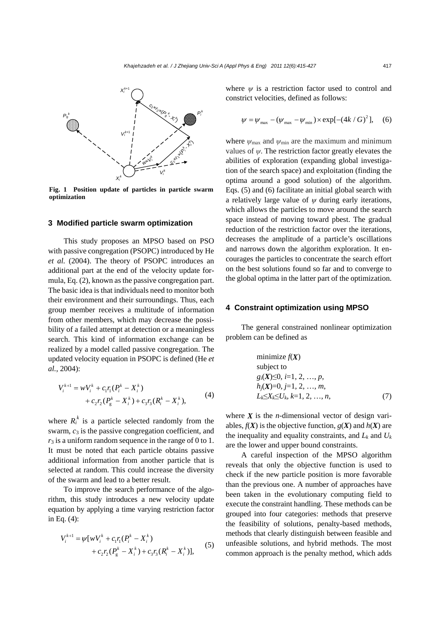

**Fig. 1 Position update of particles in particle swarm optimization** 

### **3 Modified particle swarm optimization**

This study proposes an MPSO based on PSO with passive congregation (PSOPC) introduced by He *et al.* (2004). The theory of PSOPC introduces an additional part at the end of the velocity update formula, Eq. (2), known as the passive congregation part. The basic idea is that individuals need to monitor both their environment and their surroundings. Thus, each group member receives a multitude of information from other members, which may decrease the possibility of a failed attempt at detection or a meaningless search. This kind of information exchange can be realized by a model called passive congregation. The updated velocity equation in PSOPC is defined (He *et al.*, 2004):

$$
V_i^{k+1} = wV_i^k + c_1r_1(P_i^k - X_i^k) + c_2r_2(P_g^k - X_i^k) + c_3r_3(R_i^k - X_i^k),
$$
 (4)

where  $R_i^k$  is a particle selected randomly from the swarm,  $c_3$  is the passive congregation coefficient, and  $r_3$  is a uniform random sequence in the range of 0 to 1. It must be noted that each particle obtains passive additional information from another particle that is selected at random. This could increase the diversity of the swarm and lead to a better result.

To improve the search performance of the algorithm, this study introduces a new velocity update equation by applying a time varying restriction factor in Eq. (4):

$$
V_i^{k+1} = \psi[wV_i^k + c_1r_1(P_i^k - X_i^k) + c_2r_2(P_g^k - X_i^k) + c_3r_3(R_i^k - X_i^k)],
$$
 (5)

where *ψ* is a restriction factor used to control and constrict velocities, defined as follows:

$$
\psi = \psi_{\text{max}} - (\psi_{\text{max}} - \psi_{\text{min}}) \times \exp[-(4k/G)^2],
$$
 (6)

where  $\psi_{\text{max}}$  and  $\psi_{\text{min}}$  are the maximum and minimum values of *ψ*. The restriction factor greatly elevates the abilities of exploration (expanding global investigation of the search space) and exploitation (finding the optima around a good solution) of the algorithm. Eqs. (5) and (6) facilitate an initial global search with a relatively large value of *ψ* during early iterations, which allows the particles to move around the search space instead of moving toward pbest. The gradual reduction of the restriction factor over the iterations, decreases the amplitude of a particle's oscillations and narrows down the algorithm exploration. It encourages the particles to concentrate the search effort on the best solutions found so far and to converge to the global optima in the latter part of the optimization.

## **4 Constraint optimization using MPSO**

The general constrained nonlinear optimization problem can be defined as

minimize 
$$
f(X)
$$
  
\nsubject to  
\n $g_i(X) \le 0, i=1, 2, ..., p,$   
\n $h_j(X)=0, j=1, 2, ..., m,$   
\n $L_k \le X_k \le U_k, k=1, 2, ..., n,$  (7)

where  $X$  is the *n*-dimensional vector of design variables,  $f(X)$  is the objective function,  $g(X)$  and  $h(X)$  are the inequality and equality constraints, and *Lk* and *Uk* are the lower and upper bound constraints.

A careful inspection of the MPSO algorithm reveals that only the objective function is used to check if the new particle position is more favorable than the previous one. A number of approaches have been taken in the evolutionary computing field to execute the constraint handling. These methods can be grouped into four categories: methods that preserve the feasibility of solutions, penalty-based methods, methods that clearly distinguish between feasible and unfeasible solutions, and hybrid methods. The most common approach is the penalty method, which adds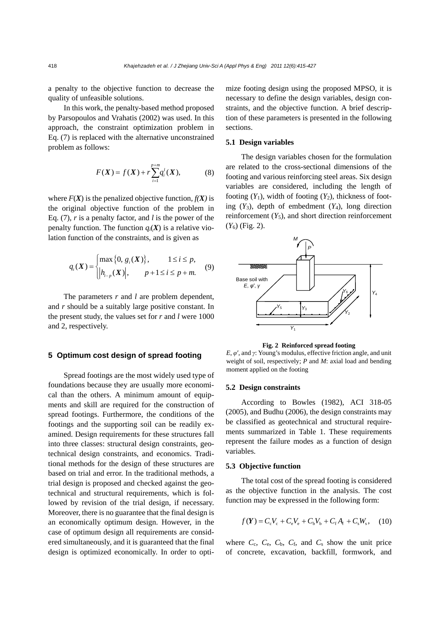a penalty to the objective function to decrease the quality of unfeasible solutions.

In this work, the penalty-based method proposed by Parsopoulos and Vrahatis (2002) was used. In this approach, the constraint optimization problem in Eq. (7) is replaced with the alternative unconstrained problem as follows:

$$
F(X) = f(X) + r \sum_{i=1}^{p+m} q_i^l(X), \tag{8}
$$

where  $F(X)$  is the penalized objective function,  $f(X)$  is the original objective function of the problem in Eq. (7), *r* is a penalty factor, and *l* is the power of the penalty function. The function  $q_i(X)$  is a relative violation function of the constraints, and is given as

$$
q_i(X) = \begin{cases} \max\{0, g_i(X)\}, & 1 \le i \le p, \\ |h_{i-p}(X)|, & p+1 \le i \le p+m. \end{cases}
$$
 (9)

The parameters *r* and *l* are problem dependent, and *r* should be a suitably large positive constant. In the present study, the values set for *r* and *l* were 1000 and 2, respectively.

## **5 Optimum cost design of spread footing**

Spread footings are the most widely used type of foundations because they are usually more economical than the others. A minimum amount of equipments and skill are required for the construction of spread footings. Furthermore, the conditions of the footings and the supporting soil can be readily examined. Design requirements for these structures fall into three classes: structural design constraints, geotechnical design constraints, and economics. Traditional methods for the design of these structures are based on trial and error. In the traditional methods, a trial design is proposed and checked against the geotechnical and structural requirements, which is followed by revision of the trial design, if necessary. Moreover, there is no guarantee that the final design is an economically optimum design. However, in the case of optimum design all requirements are considered simultaneously, and it is guaranteed that the final design is optimized economically. In order to optimize footing design using the proposed MPSO, it is necessary to define the design variables, design constraints, and the objective function. A brief description of these parameters is presented in the following sections.

### **5.1 Design variables**

The design variables chosen for the formulation are related to the cross-sectional dimensions of the footing and various reinforcing steel areas. Six design variables are considered, including the length of footing  $(Y_1)$ , width of footing  $(Y_2)$ , thickness of footing  $(Y_3)$ , depth of embedment  $(Y_4)$ , long direction reinforcement  $(Y_5)$ , and short direction reinforcement (*Y*6) (Fig. 2).



**Fig. 2 Reinforced spread footing** 

*E*, *φ*′, and *γ*: Young's modulus, effective friction angle, and unit weight of soil, respectively; *P* and *M*: axial load and bending moment applied on the footing

#### **5.2 Design constraints**

According to Bowles (1982), ACI 318-05 (2005), and Budhu (2006), the design constraints may be classified as geotechnical and structural requirements summarized in Table 1. These requirements represent the failure modes as a function of design variables.

#### **5.3 Objective function**

The total cost of the spread footing is considered as the objective function in the analysis. The cost function may be expressed in the following form:

$$
f(Y) = C_{\rm c}V_{\rm c} + C_{\rm e}V_{\rm e} + C_{\rm b}V_{\rm b} + C_{\rm f}A_{\rm f} + C_{\rm s}W_{\rm s}, \quad (10)
$$

where  $C_c$ ,  $C_e$ ,  $C_b$ ,  $C_f$ , and  $C_s$  show the unit price of concrete, excavation, backfill, formwork, and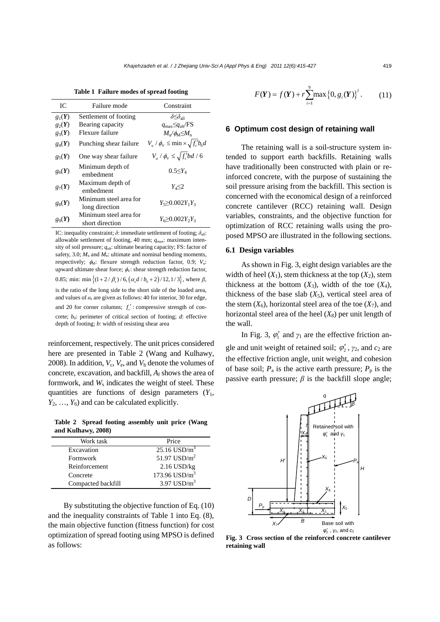**Table 1 Failure modes of spread footing** 

| IC.      | Failure mode                              | Constraint                                                            |
|----------|-------------------------------------------|-----------------------------------------------------------------------|
| $g_1(Y)$ | Settlement of footing                     | $\delta \leq \delta_{\rm all}$                                        |
| $g_2(Y)$ | Bearing capacity                          | $q_{\text{max}} \leq q_{\text{ult}} / FS$                             |
| $g_3(Y)$ | Flexure failure                           | $M_v/\phi_M \leq M_v$                                                 |
| $g_4(Y)$ | Punching shear failure                    | $V_{\rm u}$ / $\phi_{\rm v} \leq \min \times \sqrt{f_{\rm c}' b_0} d$ |
| $g_5(Y)$ | One way shear failure                     | $V_{\rm n}$ / $\phi_{\rm v} \le \sqrt{f_{\rm c}} b d$ / 6             |
| $g_6(Y)$ | Minimum depth of<br>embedment             | $0.5 \le Y_4$                                                         |
| $g_7(Y)$ | Maximum depth of<br>embedment             | $Y_4 \leq 2$                                                          |
| $g_8(Y)$ | Minimum steel area for<br>long direction  | $Y_5 \ge 0.002 Y_1 Y_3$                                               |
| $g_9(Y)$ | Minimum steel area for<br>short direction | $Y_6 \geq 0.002 Y_2 Y_3$                                              |

IC: inequality constraint;  $\delta$ : immediate settlement of footing;  $\delta$ <sub>all</sub>: allowable settlement of footing, 40 mm;  $q_{\text{max}}$ : maximum intensity of soil pressure;  $q_{ult}$ : ultimate bearing capacity; FS: factor of safety, 3.0;  $M_u$  and  $M_n$ : ultimate and nominal bending moments, respectively;  $φ_M$ : flexure strength reduction factor, 0.9; *V*<sub>u</sub>: upward ultimate shear force;  $\phi_V$ : shear strength reduction factor, 0.85; min: min  $\{(1+2/\beta_c)/6, (\alpha_s d/b_0 + 2)/12, 1/3\}$ , where  $\beta_c$ is the ratio of the long side to the short side of the loaded area, and values of  $\alpha_s$  are given as follows: 40 for interior, 30 for edge, and 20 for corner columns;  $f_c$  : compressive strength of concrete;  $b_0$ : perimeter of critical section of footing; *d*: effective depth of footing; *b*: width of resisting shear area

reinforcement, respectively. The unit prices considered here are presented in Table 2 (Wang and Kulhawy, 2008). In addition,  $V_c$ ,  $V_e$ , and  $V_b$  denote the volumes of concrete, excavation, and backfill, *A*f shows the area of formwork, and  $W_s$  indicates the weight of steel. These quantities are functions of design parameters (*Y*1, *Y*<sub>2</sub>, …, *Y*<sub>6</sub>) and can be calculated explicitly.

**Table 2 Spread footing assembly unit price (Wang and Kulhawy, 2008)**

| Work task          | Price              |
|--------------------|--------------------|
| Excavation         | $25.16$ USD/ $m^3$ |
| Formwork           | 51.97 $USD/m^2$    |
| Reinforcement      | $2.16$ USD/kg      |
| Concrete           | 173.96 $USD/m^3$   |
| Compacted backfill | $3.97$ USD/ $m3$   |

By substituting the objective function of Eq. (10) and the inequality constraints of Table 1 into Eq. (8), the main objective function (fitness function) for cost optimization of spread footing using MPSO is defined as follows:

$$
F(Y) = f(Y) + r \sum_{i=1}^{9} \max \left\{ 0, g_i(Y) \right\}^l.
$$
 (11)

#### **6 Optimum cost design of retaining wall**

The retaining wall is a soil-structure system intended to support earth backfills. Retaining walls have traditionally been constructed with plain or reinforced concrete, with the purpose of sustaining the soil pressure arising from the backfill. This section is concerned with the economical design of a reinforced concrete cantilever (RCC) retaining wall. Design variables, constraints, and the objective function for optimization of RCC retaining walls using the proposed MPSO are illustrated in the following sections.

#### **6.1 Design variables**

As shown in Fig. 3, eight design variables are the width of heel  $(X_1)$ , stem thickness at the top  $(X_2)$ , stem thickness at the bottom  $(X_3)$ , width of the toe  $(X_4)$ , thickness of the base slab  $(X_5)$ , vertical steel area of the stem  $(X_6)$ , horizontal steel area of the toe  $(X_7)$ , and horizontal steel area of the heel  $(X_8)$  per unit length of the wall.

In Fig. 3,  $\varphi'_1$  and  $\gamma_1$  are the effective friction angle and unit weight of retained soil;  $\varphi'_2$ ,  $\gamma_2$ , and  $c_2$  are the effective friction angle, unit weight, and cohesion of base soil;  $P_a$  is the active earth pressure;  $P_p$  is the passive earth pressure;  $\beta$  is the backfill slope angle;



**Fig. 3 Cross section of the reinforced concrete cantilever retaining wall**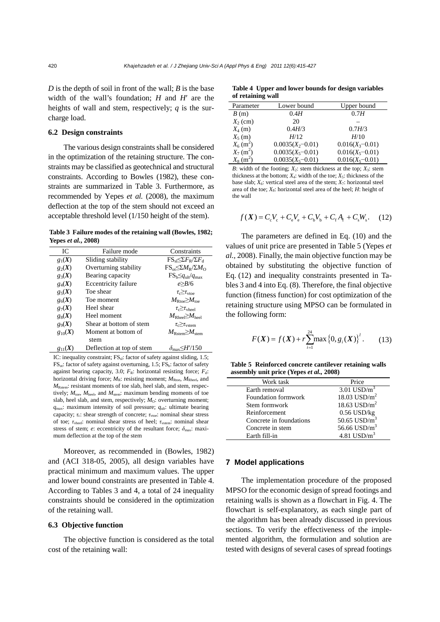*D* is the depth of soil in front of the wall; *B* is the base width of the wall's foundation; *H* and *H*′ are the heights of wall and stem, respectively; *q* is the surcharge load.

## **6.2 Design constraints**

The various design constraints shall be considered in the optimization of the retaining structure. The constraints may be classified as geotechnical and structural constraints. According to Bowles (1982), these constraints are summarized in Table 3. Furthermore, as recommended by Yepes *et al.* (2008), the maximum deflection at the top of the stem should not exceed an acceptable threshold level (1/150 height of the stem).

**Table 3 Failure modes of the retaining wall (Bowles, 1982; Yepes** *et al.***, 2008)**

| IC.         | Failure mode              | Constraints                                       |
|-------------|---------------------------|---------------------------------------------------|
| $g_1(X)$    | Sliding stability         | $FS_{sl} \leq \Sigma F_R / \Sigma F_d$            |
| $g_2(X)$    | Overturning stability     | $FS_{\alpha} \leq \Sigma M_{R}/\Sigma M_{\Omega}$ |
| $g_3(X)$    | Bearing capacity          | $FS_b \leq q_{\text{ult}}/q_{\text{max}}$         |
| $g_4(X)$    | Eccentricity failure      | e > B/6                                           |
| $g_5(X)$    | Toe shear                 | $\tau_c \geq \tau_{\rm vtoe}$                     |
| $g_6(X)$    | Toe moment                | $M_{\rm Rtoe} \geq M_{\rm toe}$                   |
| $g_7(X)$    | Heel shear                | $\tau_c \geq \tau_{\text{vheel}}$                 |
| $g_8(X)$    | Heel moment               | $M_{\rm Rheel}$ $\geq$ M <sub>heel</sub>          |
| $g_9(X)$    | Shear at bottom of stem   | $\tau_c \geq \tau_{\text{vstem}}$                 |
| $g_{10}(X)$ | Moment at bottom of       | $M_{\rm R\, stem}$ $\geq$ $M_{\rm stem}$          |
|             | stem                      |                                                   |
|             | Deflection at top of stem | $\delta_{\rm max} \leq H'/150$                    |

IC: inequality constraint;  $FS_{sl}$ : factor of safety against sliding, 1.5;  $FS_{ot}$ : factor of safety against overturning, 1.5;  $FS_{b}$ : factor of safety against bearing capacity, 3.0;  $F_R$ : horizontal resisting force;  $F_d$ : horizontal driving force;  $M_{\text{R}}$ : resisting moment;  $M_{\text{Rtoe}}$ ,  $M_{\text{Rheel}}$ , and  $M_{\text{Rstem}}$ : resistant moments of toe slab, heel slab, and stem, respectively;  $M_{\text{ice}}$ ,  $M_{\text{heel}}$ , and  $M_{\text{stem}}$ : maximum bending moments of toe slab, heel slab, and stem, respectively;  $M<sub>O</sub>$ : overturning moment;  $q_{\text{max}}$ : maximum intensity of soil pressure;  $q_{\text{ult}}$ : ultimate bearing capacity; *τ*<sub>c</sub>: shear strength of concrete; *τ*<sub>νtoe</sub>: nominal shear stress of toe; *τ*vheel: nominal shear stress of heel; *τ*vstem: nominal shear stress of stem; *e*: eccentricity of the resultant force;  $\delta_{\text{max}}$ : maximum deflection at the top of the stem

Moreover, as recommended in (Bowles, 1982) and (ACI 318-05, 2005), all design variables have practical minimum and maximum values. The upper and lower bound constraints are presented in Table 4. According to Tables 3 and 4, a total of 24 inequality constraints should be considered in the optimization of the retaining wall.

#### **6.3 Objective function**

The objective function is considered as the total cost of the retaining wall:

**Table 4 Upper and lower bounds for design variables of retaining wall**

| Parameter               | Lower bound          | Upper bound         |
|-------------------------|----------------------|---------------------|
| B(m)                    | 0.4H                 | 0.7H                |
| $X_2$ (cm)              | 20                   |                     |
| $X_4(m)$                | 0.4H/3               | 0.7H/3              |
| $X_5(m)$                | H/12                 | H/10                |
| $X_6$ (m <sup>2</sup> ) | $0.0035(X_2 - 0.01)$ | $0.016(X_3 - 0.01)$ |
| $X_7(m^2)$              | $0.0035(X_5=0.01)$   | $0.016(X_5=0.01)$   |
| $X_8(m^2)$              | $0.0035(X_5=0.01)$   | $0.016(X_5=0.01)$   |

*B*: width of the footing;  $X_2$ : stem thickness at the top;  $X_3$ : stem thickness at the bottom;  $X_4$ : width of the toe;  $X_5$ : thickness of the base slab;  $X_6$ : vertical steel area of the stem;  $X_7$ : horizontal steel area of the toe;  $X_8$ : horizontal steel area of the heel; *H*: height of the wall

$$
f(\mathbf{X}) = C_{\rm c} V_{\rm c} + C_{\rm e} V_{\rm e} + C_{\rm b} V_{\rm b} + C_{\rm f} A_{\rm f} + C_{\rm s} W_{\rm s}. \tag{12}
$$

The parameters are defined in Eq. (10) and the values of unit price are presented in Table 5 (Yepes *et al.,* 2008). Finally, the main objective function may be obtained by substituting the objective function of Eq. (12) and inequality constraints presented in Tables 3 and 4 into Eq. (8). Therefore, the final objective function (fitness function) for cost optimization of the retaining structure using MPSO can be formulated in the following form:

$$
F(X) = f(X) + r \sum_{i=1}^{24} \max \left\{ 0, g_i(X) \right\}^l. \tag{13}
$$

**Table 5 Reinforced concrete cantilever retaining walls assembly unit price (Yepes** *et al.,* **2008)**

| Work task                  | Price                     |
|----------------------------|---------------------------|
| Earth removal              | $3.01$ USD/m <sup>3</sup> |
| <b>Foundation formwork</b> | 18.03 $USD/m^2$           |
| Stem formwork              | 18.63 $USD/m^2$           |
| Reinforcement              | $0.56$ USD/kg             |
| Concrete in foundations    | 50.65 $USD/m^3$           |
| Concrete in stem           | 56.66 $USD/m^3$           |
| Earth fill-in              | 4.81 $USD/m^3$            |

#### **7 Model applications**

The implementation procedure of the proposed MPSO for the economic design of spread footings and retaining walls is shown as a flowchart in Fig. 4. The flowchart is self-explanatory, as each single part of the algorithm has been already discussed in previous sections. To verify the effectiveness of the implemented algorithm, the formulation and solution are tested with designs of several cases of spread footings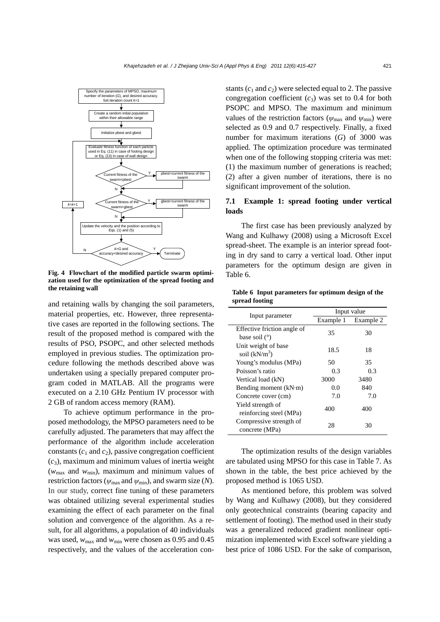

**Fig. 4 Flowchart of the modified particle swarm optimization used for the optimization of the spread footing and the retaining wall**

and retaining walls by changing the soil parameters, material properties, etc. However, three representative cases are reported in the following sections. The result of the proposed method is compared with the results of PSO, PSOPC, and other selected methods employed in previous studies. The optimization procedure following the methods described above was undertaken using a specially prepared computer program coded in MATLAB. All the programs were executed on a 2.10 GHz Pentium IV processor with 2 GB of random access memory (RAM).

To achieve optimum performance in the proposed methodology, the MPSO parameters need to be carefully adjusted. The parameters that may affect the performance of the algorithm include acceleration constants  $(c_1$  and  $c_2$ ), passive congregation coefficient  $(c<sub>3</sub>)$ , maximum and minimum values of inertia weight (*w*max and *w*min), maximum and minimum values of restriction factors ( $\psi_{\text{max}}$  and  $\psi_{\text{min}}$ ), and swarm size (*N*). In our study, correct fine tuning of these parameters was obtained utilizing several experimental studies examining the effect of each parameter on the final solution and convergence of the algorithm. As a result, for all algorithms, a population of 40 individuals was used,  $w_{\text{max}}$  and  $w_{\text{min}}$  were chosen as 0.95 and 0.45 respectively, and the values of the acceleration constants  $(c_1$  and  $c_2$ ) were selected equal to 2. The passive congregation coefficient  $(c_3)$  was set to 0.4 for both PSOPC and MPSO. The maximum and minimum values of the restriction factors ( $\psi_{\text{max}}$  and  $\psi_{\text{min}}$ ) were selected as 0.9 and 0.7 respectively. Finally, a fixed number for maximum iterations (*G*) of 3000 was applied. The optimization procedure was terminated when one of the following stopping criteria was met: (1) the maximum number of generations is reached; (2) after a given number of iterations, there is no significant improvement of the solution.

## **7.1 Example 1: spread footing under vertical loads**

The first case has been previously analyzed by Wang and Kulhawy (2008) using a Microsoft Excel spread-sheet. The example is an interior spread footing in dry sand to carry a vertical load. Other input parameters for the optimum design are given in Table 6.

|                | Table 6 Input parameters for optimum design of the |  |  |
|----------------|----------------------------------------------------|--|--|
| spread footing |                                                    |  |  |

| Input parameter             |           | Input value |  |
|-----------------------------|-----------|-------------|--|
|                             | Example 1 | Example 2   |  |
| Effective friction angle of | 35        | 30          |  |
| base soil $(°)$             |           |             |  |
| Unit weight of base         | 18.5      | 18          |  |
| soil $(kN/m^3)$             |           |             |  |
| Young's modulus (MPa)       | 50        | 35          |  |
| Poisson's ratio             | 0.3       | 0.3         |  |
| Vertical load (kN)          | 3000      | 3480        |  |
| Bending moment $(kN·m)$     | 0.0       | 840         |  |
| Concrete cover (cm)         | 7.0       | 7.0         |  |
| Yield strength of           | 400       | 400         |  |
| reinforcing steel (MPa)     |           |             |  |
| Compressive strength of     | 28        | 30          |  |
| concrete (MPa)              |           |             |  |

The optimization results of the design variables are tabulated using MPSO for this case in Table 7. As shown in the table, the best price achieved by the proposed method is 1065 USD.

As mentioned before, this problem was solved by Wang and Kulhawy (2008), but they considered only geotechnical constraints (bearing capacity and settlement of footing). The method used in their study was a generalized reduced gradient nonlinear optimization implemented with Excel software yielding a best price of 1086 USD. For the sake of comparison,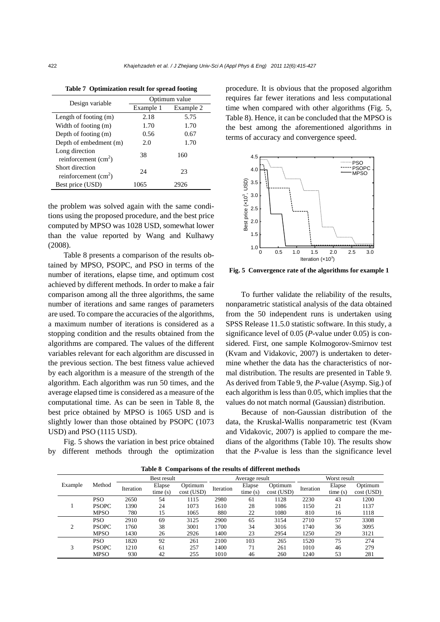|                                          | Optimum value |           |  |  |
|------------------------------------------|---------------|-----------|--|--|
| Design variable                          | Example 1     | Example 2 |  |  |
| Length of footing $(m)$                  | 2.18          | 5.75      |  |  |
| Width of footing (m)                     | 1.70          | 1.70      |  |  |
| Depth of footing (m)                     | 0.56          | 0.67      |  |  |
| Depth of embedment (m)                   | 2.0           | 1.70      |  |  |
| Long direction<br>reinforcement $(cm2)$  | 38            | 160       |  |  |
| Short direction<br>reinforcement $(cm2)$ | 24            | 23        |  |  |
| Best price (USD)                         | 1065          | 2926      |  |  |

**Table 7 Optimization result for spread footing**

the problem was solved again with the same conditions using the proposed procedure, and the best price computed by MPSO was 1028 USD, somewhat lower than the value reported by Wang and Kulhawy (2008).

Table 8 presents a comparison of the results obtained by MPSO, PSOPC, and PSO in terms of the number of iterations, elapse time, and optimum cost achieved by different methods. In order to make a fair comparison among all the three algorithms, the same number of iterations and same ranges of parameters are used. To compare the accuracies of the algorithms, a maximum number of iterations is considered as a stopping condition and the results obtained from the algorithms are compared. The values of the different variables relevant for each algorithm are discussed in the previous section. The best fitness value achieved by each algorithm is a measure of the strength of the algorithm. Each algorithm was run 50 times, and the average elapsed time is considered as a measure of the computational time. As can be seen in Table 8, the best price obtained by MPSO is 1065 USD and is slightly lower than those obtained by PSOPC (1073 USD) and PSO (1115 USD).

Fig. 5 shows the variation in best price obtained by different methods through the optimization

procedure. It is obvious that the proposed algorithm requires far fewer iterations and less computational time when compared with other algorithms (Fig. 5, Table 8). Hence, it can be concluded that the MPSO is the best among the aforementioned algorithms in terms of accuracy and convergence speed.



**Fig. 5 Convergence rate of the algorithms for example 1**

To further validate the reliability of the results, nonparametric statistical analysis of the data obtained from the 50 independent runs is undertaken using SPSS Release 11.5.0 statistic software. In this study, a significance level of 0.05 (*P*-value under 0.05) is considered. First, one sample Kolmogorov-Smirnov test (Kvam and Vidakovic, 2007) is undertaken to determine whether the data has the characteristics of normal distribution. The results are presented in Table 9. As derived from Table 9, the *P*-value (Asymp. Sig.) of each algorithm is less than 0.05, which implies that the values do not match normal (Gaussian) distribution.

Because of non-Gaussian distribution of the data, the Kruskal-Wallis nonparametric test (Kvam and Vidakovic, 2007) is applied to compare the medians of the algorithms (Table 10). The results show that the *P*-value is less than the significance level

|               |              | Best result |            |         | Average result |            |         | Worst result |            |         |
|---------------|--------------|-------------|------------|---------|----------------|------------|---------|--------------|------------|---------|
| Example       | Method       | Iteration   | Elapse     | Optimum | Iteration      | Elapse     | Optimum | Iteration    | Elapse     | Optimum |
|               |              | time(s)     | cost (USD) |         | time(s)        | cost (USD) |         | time(s)      | cost (USD) |         |
|               | <b>PSO</b>   | 2650        | 54         | 1115    | 2980           | 61         | 1128    | 2230         | 43         | 1200    |
|               | <b>PSOPC</b> | 1390        | 24         | 1073    | 1610           | 28         | 1086    | 1150         | 21         | 1137    |
|               | <b>MPSO</b>  | 780         | 15         | 1065    | 880            | 22         | 1080    | 810          | 16         | 1118    |
|               | <b>PSO</b>   | 2910        | 69         | 3125    | 2900           | 65         | 3154    | 2710         | 57         | 3308    |
| $\bigcap$     | <b>PSOPC</b> | 1760        | 38         | 3001    | 1700           | 34         | 3016    | 1740         | 36         | 3095    |
|               | <b>MPSO</b>  | 1430        | 26         | 2926    | 1400           | 23         | 2954    | 1250         | 29         | 3121    |
|               | <b>PSO</b>   | 1820        | 92         | 261     | 2100           | 103        | 265     | 1520         | 75         | 274     |
| $\mathcal{L}$ | <b>PSOPC</b> | 1210        | 61         | 257     | 1400           | 71         | 261     | 1010         | 46         | 279     |
|               | <b>MPSO</b>  | 930         | 42         | 255     | 1010           | 46         | 260     | 1240         | 53         | 281     |

**Table 8 Comparisons of the results of different methods**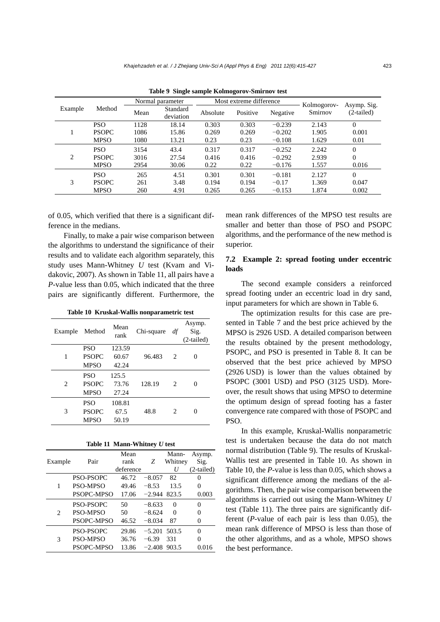|         |              |      | Normal parameter      |          | Most extreme difference |          |                        | Asymp. Sig.      |
|---------|--------------|------|-----------------------|----------|-------------------------|----------|------------------------|------------------|
| Example | Method       | Mean | Standard<br>deviation | Absolute | Positive                | Negative | Kolmogorov-<br>Smirnov | $(2-tailed)$     |
|         | <b>PSO</b>   | 1128 | 18.14                 | 0.303    | 0.303                   | $-0.239$ | 2.143                  | $\Omega$         |
|         | <b>PSOPC</b> | 1086 | 15.86                 | 0.269    | 0.269                   | $-0.202$ | 1.905                  | 0.001            |
|         | <b>MPSO</b>  | 1080 | 13.21                 | 0.23     | 0.23                    | $-0.108$ | 1.629                  | 0.01             |
|         | <b>PSO</b>   | 3154 | 43.4                  | 0.317    | 0.317                   | $-0.252$ | 2.242                  | $\theta$         |
| 2       | <b>PSOPC</b> | 3016 | 27.54                 | 0.416    | 0.416                   | $-0.292$ | 2.939                  | $\boldsymbol{0}$ |
|         | <b>MPSO</b>  | 2954 | 30.06                 | 0.22     | 0.22                    | $-0.176$ | 1.557                  | 0.016            |
|         | <b>PSO</b>   | 265  | 4.51                  | 0.301    | 0.301                   | $-0.181$ | 2.127                  | $\theta$         |
| 3       | <b>PSOPC</b> | 261  | 3.48                  | 0.194    | 0.194                   | $-0.17$  | 1.369                  | 0.047            |
|         | <b>MPSO</b>  | 260  | 4.91                  | 0.265    | 0.265                   | $-0.153$ | 1.874                  | 0.002            |

**Table 9 Single sample Kolmogorov-Smirnov test** 

of 0.05, which verified that there is a significant difference in the medians.

Finally, to make a pair wise comparison between the algorithms to understand the significance of their results and to validate each algorithm separately, this study uses Mann-Whitney *U* test (Kvam and Vidakovic, 2007). As shown in Table 11, all pairs have a *P*-value less than 0.05, which indicated that the three pairs are significantly different. Furthermore, the

**Table 10 Kruskal-Wallis nonparametric test** 

| Example | Method       | Mean<br>rank | Chi-square | df                     | Asymp.<br>Sig.<br>(2-tailed) |
|---------|--------------|--------------|------------|------------------------|------------------------------|
|         | <b>PSO</b>   | 123.59       |            |                        |                              |
| 1       | <b>PSOPC</b> | 60.67        | 96.483     | 2                      | 0                            |
|         | <b>MPSO</b>  | 42.24        |            |                        |                              |
|         | <b>PSO</b>   | 125.5        |            |                        |                              |
| 2       | <b>PSOPC</b> | 73.76        | 128.19     | $\mathfrak{D}$         | 0                            |
|         | <b>MPSO</b>  | 27.24        |            |                        |                              |
|         | <b>PSO</b>   | 108.81       |            |                        |                              |
| 3       | <b>PSOPC</b> | 67.5         | 48.8       | $\mathfrak{D}_{\cdot}$ | $_{0}$                       |
|         | <b>MPSO</b>  | 50.19        |            |                        |                              |

|  |  | Table 11 Mann-Whitney U test |  |  |
|--|--|------------------------------|--|--|
|--|--|------------------------------|--|--|

|                             |                  | Mean      |          | Mann-   | Asymp.     |
|-----------------------------|------------------|-----------|----------|---------|------------|
| Example                     | Pair             | rank      | Z        | Whitney | Sig.       |
|                             |                  | deference |          | U       | (2-tailed) |
| 1                           | <b>PSO-PSOPC</b> | 46.72     | $-8.057$ | 82      | 0          |
|                             | <b>PSO-MPSO</b>  | 49.46     | $-8.53$  | 13.5    | 0          |
|                             | PSOPC-MPSO       | 17.06     | $-2.944$ | 823.5   | 0.003      |
| $\mathcal{D}_{\mathcal{L}}$ | PSO-PSOPC        | 50        | $-8.633$ | 0       | 0          |
|                             | PSO-MPSO         | 50        | $-8.624$ | 0       | 0          |
|                             | PSOPC-MPSO       | 46.52     | $-8.034$ | 87      | 0          |
| 3                           | PSO-PSOPC        | 29.86     | $-5.201$ | 503.5   | 0          |
|                             | <b>PSO-MPSO</b>  | 36.76     | $-6.39$  | 331     | 0          |
|                             | PSOPC-MPSO       | 13.86     | $-2.408$ | 903.5   | 0.016      |

mean rank differences of the MPSO test results are smaller and better than those of PSO and PSOPC algorithms, and the performance of the new method is superior.

## **7.2 Example 2: spread footing under eccentric loads**

The second example considers a reinforced spread footing under an eccentric load in dry sand, input parameters for which are shown in Table 6.

The optimization results for this case are presented in Table 7 and the best price achieved by the MPSO is 2926 USD. A detailed comparison between the results obtained by the present methodology, PSOPC, and PSO is presented in Table 8. It can be observed that the best price achieved by MPSO (2926 USD) is lower than the values obtained by PSOPC (3001 USD) and PSO (3125 USD). Moreover, the result shows that using MPSO to determine the optimum design of spread footing has a faster convergence rate compared with those of PSOPC and PSO.

In this example, Kruskal-Wallis nonparametric test is undertaken because the data do not match normal distribution (Table 9). The results of Kruskal-Wallis test are presented in Table 10. As shown in Table 10, the *P*-value is less than 0.05, which shows a significant difference among the medians of the algorithms. Then, the pair wise comparison between the algorithms is carried out using the Mann-Whitney *U* test (Table 11). The three pairs are significantly different (*P*-value of each pair is less than 0.05), the mean rank difference of MPSO is less than those of the other algorithms, and as a whole, MPSO shows the best performance.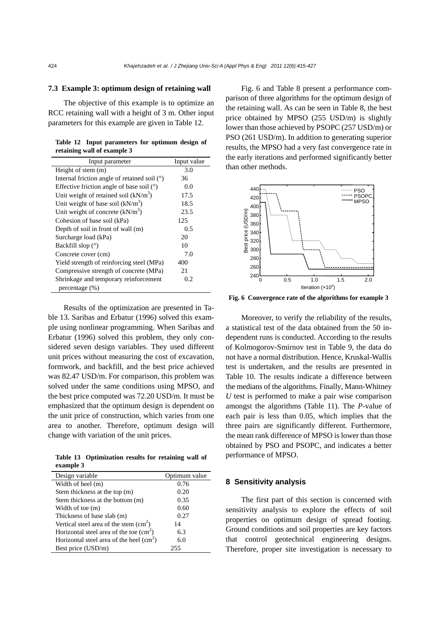### **7.3 Example 3: optimum design of retaining wall**

The objective of this example is to optimize an RCC retaining wall with a height of 3 m. Other input parameters for this example are given in Table 12.

| Table 12 Input parameters for optimum design of |  |  |
|-------------------------------------------------|--|--|
| retaining wall of example 3                     |  |  |

| Input parameter                                | Input value |  |
|------------------------------------------------|-------------|--|
| Height of stem $(m)$                           | 3.0         |  |
| Internal friction angle of retained soil $(°)$ | 36          |  |
| Effective friction angle of base soil $(°)$    | 0.0         |  |
| Unit weight of retained soil $(kN/m3)$         | 17.5        |  |
| Unit weight of base soil $(kN/m3)$             | 18.5        |  |
| Unit weight of concrete $(kN/m^3)$             | 23.5        |  |
| Cohesion of base soil (kPa)                    | 125         |  |
| Depth of soil in front of wall (m)             | 0.5         |  |
| Surcharge load (kPa)                           | 20          |  |
| Backfill slop $(°)$                            | 10          |  |
| Concrete cover (cm)                            | 7.0         |  |
| Yield strength of reinforcing steel (MPa)      | 400         |  |
| Compressive strength of concrete (MPa)         | 21          |  |
| Shrinkage and temporary reinforcement          | 0.2         |  |
| percentage $(\% )$                             |             |  |

Results of the optimization are presented in Table 13. Saribas and Erbatur (1996) solved this example using nonlinear programming. When Saribas and Erbatur (1996) solved this problem, they only considered seven design variables. They used different unit prices without measuring the cost of excavation, formwork, and backfill, and the best price achieved was 82.47 USD/m. For comparison, this problem was solved under the same conditions using MPSO, and the best price computed was 72.20 USD/m. It must be emphasized that the optimum design is dependent on the unit price of construction, which varies from one area to another. Therefore, optimum design will change with variation of the unit prices.

**Table 13 Optimization results for retaining wall of example 3**

| Design variable                                          | Optimum value |  |
|----------------------------------------------------------|---------------|--|
| Width of heel (m)                                        | 0.76          |  |
| Stem thickness at the top (m)                            | 0.20          |  |
| Stem thickness at the bottom (m)                         | 0.35          |  |
| Width of toe (m)                                         | 0.60          |  |
| Thickness of base slab (m)                               | 0.27          |  |
| Vertical steel area of the stem $\rm (cm^2)$             | 14            |  |
| Horizontal steel area of the toe $\text{cm}^2$ )         | 6.3           |  |
| Horizontal steel area of the heel $\text{(cm}^2\text{)}$ | 6.0           |  |
| Best price (USD/m)                                       |               |  |

Fig. 6 and Table 8 present a performance comparison of three algorithms for the optimum design of the retaining wall. As can be seen in Table 8, the best price obtained by MPSO (255 USD/m) is slightly lower than those achieved by PSOPC (257 USD/m) or PSO (261 USD/m). In addition to generating superior results, the MPSO had a very fast convergence rate in the early iterations and performed significantly better than other methods.



**Fig. 6 Convergence rate of the algorithms for example 3**

Moreover, to verify the reliability of the results, a statistical test of the data obtained from the 50 independent runs is conducted. According to the results of Kolmogorov-Smirnov test in Table 9, the data do not have a normal distribution. Hence, Kruskal-Wallis test is undertaken, and the results are presented in Table 10. The results indicate a difference between the medians of the algorithms. Finally, Mann-Whitney *U* test is performed to make a pair wise comparison amongst the algorithms (Table 11). The *P*-value of each pair is less than 0.05, which implies that the three pairs are significantly different. Furthermore, the mean rank difference of MPSO is lower than those obtained by PSO and PSOPC, and indicates a better performance of MPSO.

### **8 Sensitivity analysis**

The first part of this section is concerned with sensitivity analysis to explore the effects of soil properties on optimum design of spread footing. Ground conditions and soil properties are key factors that control geotechnical engineering designs. Therefore, proper site investigation is necessary to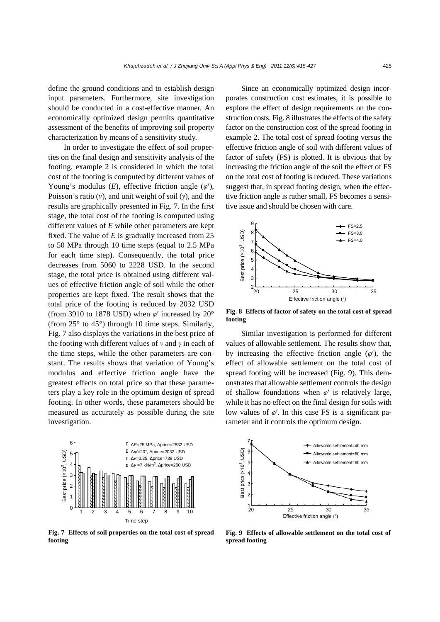define the ground conditions and to establish design input parameters. Furthermore, site investigation should be conducted in a cost-effective manner. An economically optimized design permits quantitative assessment of the benefits of improving soil property characterization by means of a sensitivity study.

In order to investigate the effect of soil properties on the final design and sensitivity analysis of the footing, example 2 is considered in which the total cost of the footing is computed by different values of Young's modulus (*E*), effective friction angle (*φ*′), Poisson's ratio (*ν*), and unit weight of soil (*γ*), and the results are graphically presented in Fig. 7. In the first stage, the total cost of the footing is computed using different values of *E* while other parameters are kept fixed. The value of *E* is gradually increased from 25 to 50 MPa through 10 time steps (equal to 2.5 MPa for each time step). Consequently, the total price decreases from 5060 to 2228 USD. In the second stage, the total price is obtained using different values of effective friction angle of soil while the other properties are kept fixed. The result shows that the total price of the footing is reduced by 2032 USD (from 3910 to 1878 USD) when *φ*′ increased by 20° (from  $25^{\circ}$  to  $45^{\circ}$ ) through 10 time steps. Similarly, Fig. 7 also displays the variations in the best price of the footing with different values of *ν* and *γ* in each of the time steps, while the other parameters are constant. The results shows that variation of Young's modulus and effective friction angle have the greatest effects on total price so that these parameters play a key role in the optimum design of spread footing. In other words, these parameters should be measured as accurately as possible during the site investigation.



**Fig. 7 Effects of soil properties on the total cost of spread footing**

Since an economically optimized design incorporates construction cost estimates, it is possible to explore the effect of design requirements on the construction costs. Fig. 8 illustrates the effects of the safety factor on the construction cost of the spread footing in example 2. The total cost of spread footing versus the effective friction angle of soil with different values of factor of safety (FS) is plotted. It is obvious that by increasing the friction angle of the soil the effect of FS on the total cost of footing is reduced. These variations suggest that, in spread footing design, when the effective friction angle is rather small, FS becomes a sensitive issue and should be chosen with care.



**Fig. 8 Effects of factor of safety on the total cost of spread footing**

Similar investigation is performed for different values of allowable settlement. The results show that, by increasing the effective friction angle (*φ*′), the effect of allowable settlement on the total cost of spread footing will be increased (Fig. 9). This demonstrates that allowable settlement controls the design of shallow foundations when  $\varphi'$  is relatively large, while it has no effect on the final design for soils with low values of *φ*′*.* In this case FS is a significant parameter and it controls the optimum design.



**Fig. 9 Effects of allowable settlement on the total cost of spread footing**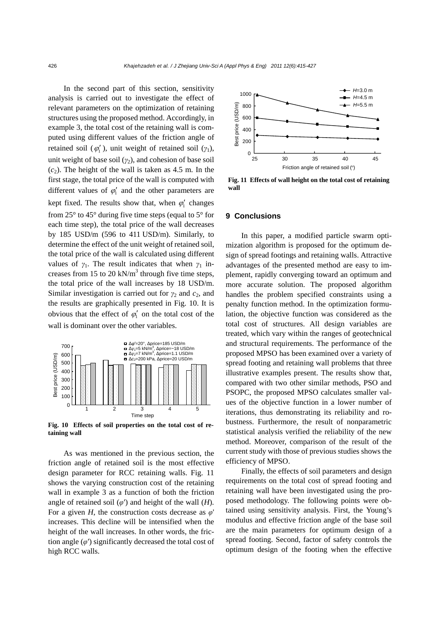In the second part of this section, sensitivity analysis is carried out to investigate the effect of relevant parameters on the optimization of retaining structures using the proposed method. Accordingly, in example 3, the total cost of the retaining wall is computed using different values of the friction angle of retained soil  $(\varphi'_1)$ , unit weight of retained soil  $(\gamma_1)$ , unit weight of base soil (*γ*<sub>2</sub>), and cohesion of base soil  $(c_2)$ . The height of the wall is taken as 4.5 m. In the first stage, the total price of the wall is computed with different values of  $\varphi'_1$  and the other parameters are kept fixed. The results show that, when  $\varphi_1'$  changes from  $25^{\circ}$  to  $45^{\circ}$  during five time steps (equal to  $5^{\circ}$  for each time step), the total price of the wall decreases by 185 USD/m (596 to 411 USD/m). Similarly, to determine the effect of the unit weight of retained soil, the total price of the wall is calculated using different values of  $\gamma_1$ . The result indicates that when  $\gamma_1$  increases from 15 to 20 kN/ $m<sup>3</sup>$  through five time steps, the total price of the wall increases by 18 USD/m. Similar investigation is carried out for  $\gamma_2$  and  $c_2$ , and the results are graphically presented in Fig. 10. It is obvious that the effect of  $\varphi_1'$  on the total cost of the wall is dominant over the other variables.



**Fig. 10 Effects of soil properties on the total cost of retaining wall**

As was mentioned in the previous section, the friction angle of retained soil is the most effective design parameter for RCC retaining walls. Fig. 11 shows the varying construction cost of the retaining wall in example 3 as a function of both the friction angle of retained soil  $(\varphi')$  and height of the wall  $(H)$ . For a given *H*, the construction costs decrease as  $\varphi$ <sup>'</sup> increases. This decline will be intensified when the height of the wall increases. In other words, the friction angle (*φ*′) significantly decreased the total cost of high RCC walls.



**Fig. 11 Effects of wall height on the total cost of retaining wall**

## **9 Conclusions**

In this paper, a modified particle swarm optimization algorithm is proposed for the optimum design of spread footings and retaining walls. Attractive advantages of the presented method are easy to implement, rapidly converging toward an optimum and more accurate solution. The proposed algorithm handles the problem specified constraints using a penalty function method. In the optimization formulation, the objective function was considered as the total cost of structures. All design variables are treated, which vary within the ranges of geotechnical and structural requirements. The performance of the proposed MPSO has been examined over a variety of spread footing and retaining wall problems that three illustrative examples present. The results show that, compared with two other similar methods, PSO and PSOPC, the proposed MPSO calculates smaller values of the objective function in a lower number of iterations, thus demonstrating its reliability and robustness. Furthermore, the result of nonparametric statistical analysis verified the reliability of the new method. Moreover, comparison of the result of the current study with those of previous studies shows the efficiency of MPSO.

Finally, the effects of soil parameters and design requirements on the total cost of spread footing and retaining wall have been investigated using the proposed methodology. The following points were obtained using sensitivity analysis. First, the Young's modulus and effective friction angle of the base soil are the main parameters for optimum design of a spread footing. Second, factor of safety controls the optimum design of the footing when the effective